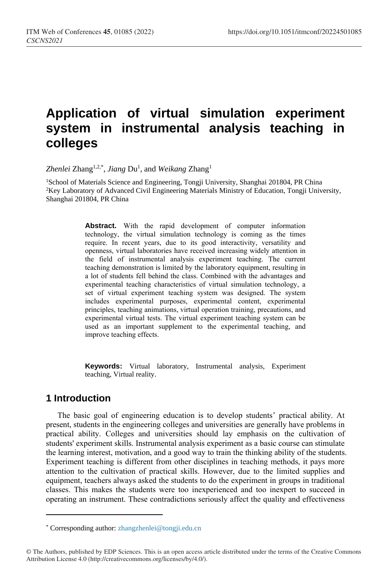# **Application of virtual simulation experiment system in instrumental analysis teaching in colleges**

Zhenlei Zhang<sup>1,2,\*</sup>, *Jiang* Du<sup>1</sup>, and *Weikang* Zhang<sup>1</sup>

<sup>1</sup>School of Materials Science and Engineering, Tongji University, Shanghai 201804, PR China <sup>2</sup>Key Laboratory of Advanced Civil Engineering Materials Ministry of Education, Tongji University, Shanghai 201804, PR China

> **Abstract.** With the rapid development of computer information technology, the virtual simulation technology is coming as the times require. In recent years, due to its good interactivity, versatility and openness, virtual laboratories have received increasing widely attention in the field of instrumental analysis experiment teaching. The current teaching demonstration is limited by the laboratory equipment, resulting in a lot of students fell behind the class. Combined with the advantages and experimental teaching characteristics of virtual simulation technology, a set of virtual experiment teaching system was designed. The system includes experimental purposes, experimental content, experimental principles, teaching animations, virtual operation training, precautions, and experimental virtual tests. The virtual experiment teaching system can be used as an important supplement to the experimental teaching, and improve teaching effects.

> **Keywords:** Virtual laboratory, Instrumental analysis, Experiment teaching, Virtual reality.

## **1 Introduction**

 $\overline{a}$ 

The basic goal of engineering education is to develop students' practical ability. At present, students in the engineering colleges and universities are generally have problems in practical ability. Colleges and universities should lay emphasis on the cultivation of students' experiment skills. Instrumental analysis experiment as a basic course can stimulate the learning interest, motivation, and a good way to train the thinking ability of the students. Experiment teaching is different from other disciplines in teaching methods, it pays more attention to the cultivation of practical skills. However, due to the limited supplies and equipment, teachers always asked the students to do the experiment in groups in traditional classes. This makes the students were too inexperienced and too inexpert to succeed in operating an instrument. These contradictions seriously affect the quality and effectiveness

<sup>\*</sup> Corresponding author: zhangzhenlei@tongji.edu.cn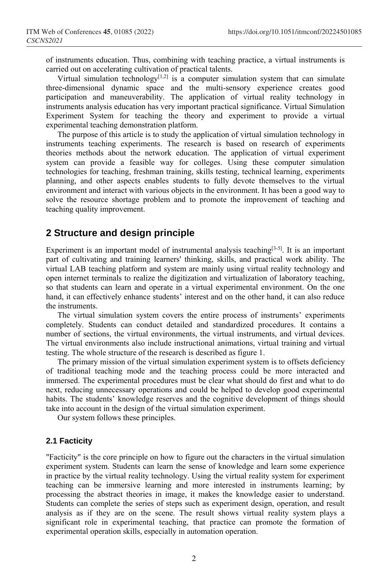of instruments education. Thus, combining with teaching practice, a virtual instruments is carried out on accelerating cultivation of practical talents.

Virtual simulation technology $[1,2]$  is a computer simulation system that can simulate three-dimensional dynamic space and the multi-sensory experience creates good participation and maneuverability. The application of virtual reality technology in instruments analysis education has very important practical significance. Virtual Simulation Experiment System for teaching the theory and experiment to provide a virtual experimental teaching demonstration platform.

The purpose of this article is to study the application of virtual simulation technology in instruments teaching experiments. The research is based on research of experiments theories methods about the network education. The application of virtual experiment system can provide a feasible way for colleges. Using these computer simulation technologies for teaching, freshman training, skills testing, technical learning, experiments planning, and other aspects enables students to fully devote themselves to the virtual environment and interact with various objects in the environment. It has been a good way to solve the resource shortage problem and to promote the improvement of teaching and teaching quality improvement.

## **2 Structure and design principle**

Experiment is an important model of instrumental analysis teaching<sup>[3-5]</sup>. It is an important part of cultivating and training learners' thinking, skills, and practical work ability. The virtual LAB teaching platform and system are mainly using virtual reality technology and open internet terminals to realize the digitization and virtualization of laboratory teaching, so that students can learn and operate in a virtual experimental environment. On the one hand, it can effectively enhance students' interest and on the other hand, it can also reduce the instruments.

The virtual simulation system covers the entire process of instruments' experiments completely. Students can conduct detailed and standardized procedures. It contains a number of sections, the virtual environments, the virtual instruments, and virtual devices. The virtual environments also include instructional animations, virtual training and virtual testing. The whole structure of the research is described as figure 1.

The primary mission of the virtual simulation experiment system is to offsets deficiency of traditional teaching mode and the teaching process could be more interacted and immersed. The experimental procedures must be clear what should do first and what to do next, reducing unnecessary operations and could be helped to develop good experimental habits. The students' knowledge reserves and the cognitive development of things should take into account in the design of the virtual simulation experiment.

Our system follows these principles.

#### **2.1 Facticity**

"Facticity" is the core principle on how to figure out the characters in the virtual simulation experiment system. Students can learn the sense of knowledge and learn some experience in practice by the virtual reality technology. Using the virtual reality system for experiment teaching can be immersive learning and more interested in instruments learning; by processing the abstract theories in image, it makes the knowledge easier to understand. Students can complete the series of steps such as experiment design, operation, and result analysis as if they are on the scene. The result shows virtual reality system plays a significant role in experimental teaching, that practice can promote the formation of experimental operation skills, especially in automation operation.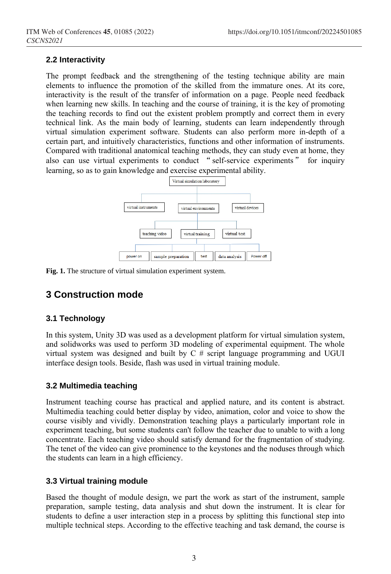#### **2.2 Interactivity**

The prompt feedback and the strengthening of the testing technique ability are main elements to influence the promotion of the skilled from the immature ones. At its core, interactivity is the result of the transfer of information on a page. People need feedback when learning new skills. In teaching and the course of training, it is the key of promoting the teaching records to find out the existent problem promptly and correct them in every technical link. As the main body of learning, students can learn independently through virtual simulation experiment software. Students can also perform more in-depth of a certain part, and intuitively characteristics, functions and other information of instruments. Compared with traditional anatomical teaching methods, they can study even at home, they also can use virtual experiments to conduct "self-service experiments" for inquiry learning, so as to gain knowledge and exercise experimental ability.



**Fig. 1.** The structure of virtual simulation experiment system.

# **3 Construction mode**

## **3.1 Technology**

In this system, Unity 3D was used as a development platform for virtual simulation system, and solidworks was used to perform 3D modeling of experimental equipment. The whole virtual system was designed and built by  $C \#$  script language programming and UGUI interface design tools. Beside, flash was used in virtual training module.

#### **3.2 Multimedia teaching**

Instrument teaching course has practical and applied nature, and its content is abstract. Multimedia teaching could better display by video, animation, color and voice to show the course visibly and vividly. Demonstration teaching plays a particularly important role in experiment teaching, but some students can't follow the teacher due to unable to with a long concentrate. Each teaching video should satisfy demand for the fragmentation of studying. The tenet of the video can give prominence to the keystones and the noduses through which the students can learn in a high efficiency.

## **3.3 Virtual training module**

Based the thought of module design, we part the work as start of the instrument, sample preparation, sample testing, data analysis and shut down the instrument. It is clear for students to define a user interaction step in a process by splitting this functional step into multiple technical steps. According to the effective teaching and task demand, the course is